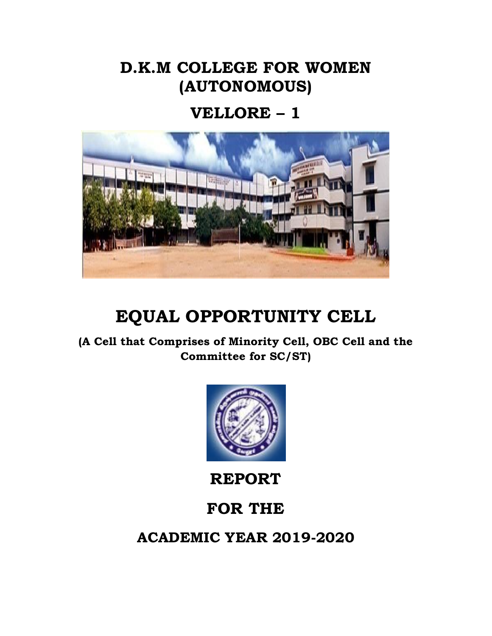## **D.K.M COLLEGE FOR WOMEN (AUTONOMOUS)**

## **VELLORE – 1**



# **EQUAL OPPORTUNITY CELL**

**(A Cell that Comprises of Minority Cell, OBC Cell and the Committee for SC/ST)**



**REPORT** 

## **FOR THE**

**ACADEMIC YEAR 2019-2020**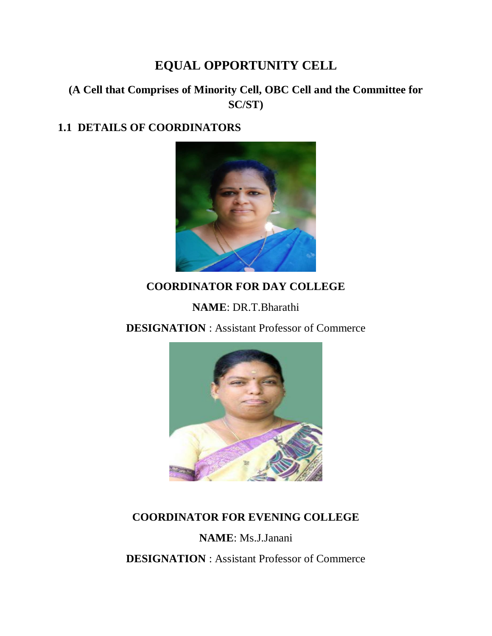## **EQUAL OPPORTUNITY CELL**

## **(A Cell that Comprises of Minority Cell, OBC Cell and the Committee for SC/ST)**

### **1.1 DETAILS OF COORDINATORS**



## **COORDINATOR FOR DAY COLLEGE**

### **NAME**: DR.T.Bharathi

**DESIGNATION** : Assistant Professor of Commerce



### **COORDINATOR FOR EVENING COLLEGE**

**NAME**: Ms.J.Janani

**DESIGNATION** : Assistant Professor of Commerce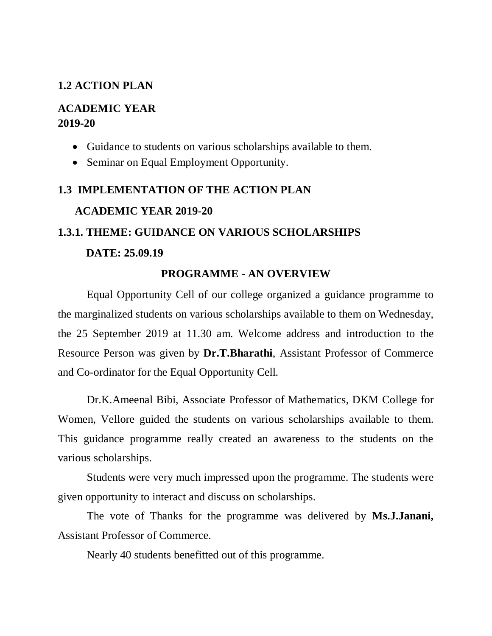#### **1.2 ACTION PLAN**

#### **ACADEMIC YEAR 2019-20**

- Guidance to students on various scholarships available to them.
- Seminar on Equal Employment Opportunity.

#### **1.3 IMPLEMENTATION OF THE ACTION PLAN**

#### **ACADEMIC YEAR 2019-20**

#### **1.3.1. THEME: GUIDANCE ON VARIOUS SCHOLARSHIPS**

#### **DATE: 25.09.19**

#### **PROGRAMME - AN OVERVIEW**

Equal Opportunity Cell of our college organized a guidance programme to the marginalized students on various scholarships available to them on Wednesday, the 25 September 2019 at 11.30 am. Welcome address and introduction to the Resource Person was given by **Dr.T.Bharathi**, Assistant Professor of Commerce and Co-ordinator for the Equal Opportunity Cell.

Dr.K.Ameenal Bibi, Associate Professor of Mathematics, DKM College for Women, Vellore guided the students on various scholarships available to them. This guidance programme really created an awareness to the students on the various scholarships.

Students were very much impressed upon the programme. The students were given opportunity to interact and discuss on scholarships.

The vote of Thanks for the programme was delivered by **Ms.J.Janani,** Assistant Professor of Commerce.

Nearly 40 students benefitted out of this programme.